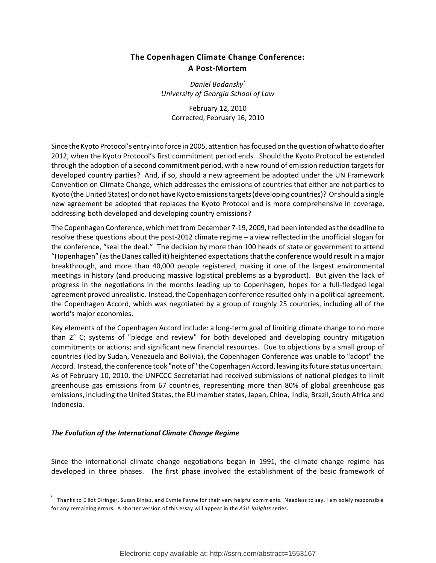# **The Copenhagen Climate Change Conference: A Post-Mortem**

*Daniel Bodansky\* University of Georgia School of Law*

February 12, 2010 Corrected, February 16, 2010

Since the Kyoto Protocol's entry into force in 2005, attention has focused on the question of what todo after 2012, when the Kyoto Protocol's first commitment period ends. Should the Kyoto Protocol be extended through the adoption of a second commitment period, with a new round of emission reduction targets for developed country parties? And, if so, should a new agreement be adopted under the UN Framework Convention on Climate Change, which addresses the emissions of countries that either are not parties to Kyoto (the United States) or do not have Kyoto emissions targets (developing countries)? Or should a single new agreement be adopted that replaces the Kyoto Protocol and is more comprehensive in coverage, addressing both developed and developing country emissions?

The Copenhagen Conference, which met from December 7-19, 2009, had been intended as the deadline to resolve these questions about the post-2012 climate regime – a view reflected in the unofficial slogan for the conference, "seal the deal." The decision by more than 100 heads of state or government to attend "Hopenhagen" (as the Danes called it) heightened expectations thatthe conference would result in a major breakthrough, and more than 40,000 people registered, making it one of the largest environmental meetings in history (and producing massive logistical problems as a byproduct). But given the lack of progress in the negotiations in the months leading up to Copenhagen, hopes for a full-fledged legal agreement proved unrealistic. Instead, the Copenhagen conference resulted only in a political agreement, the Copenhagen Accord, which was negotiated by a group of roughly 25 countries, including all of the world's major economies.

Key elements of the Copenhagen Accord include: a long-term goal of limiting climate change to no more than 2° C; systems of "pledge and review" for both developed and developing country mitigation commitments or actions; and significant new financial resources. Due to objections by a small group of countries (led by Sudan, Venezuela and Bolivia), the Copenhagen Conference was unable to "adopt" the Accord. Instead, the conference took "note of" the Copenhagen Accord, leaving its future status uncertain. As of February 10, 2010, the UNFCCC Secretariat had received submissions of national pledges to limit greenhouse gas emissions from 67 countries, representing more than 80% of global greenhouse gas emissions, including the United States, the EU member states, Japan, China, India, Brazil, South Africa and Indonesia.

# *The Evolution of the International Climate Change Regime*

Since the international climate change negotiations began in 1991, the climate change regime has developed in three phases. The first phase involved the establishment of the basic framework of

Thanks to Elliot Diringer, Susan Biniaz, and Cymie Payne for their very helpful comments. Needless to say, I am solely responsible \* for any remaining errors. A shorter version of this essay will appear in the *ASIL Insights* series.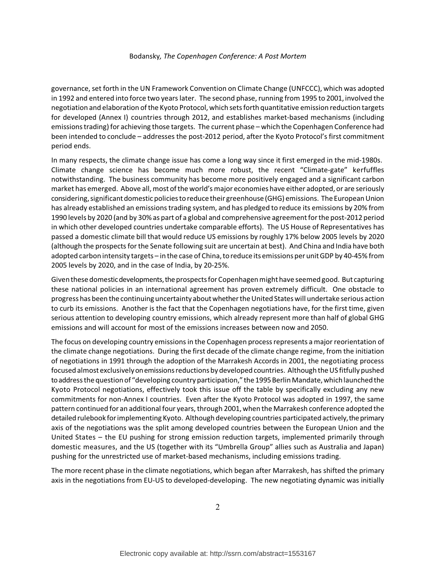governance, set forth in the UN Framework Convention on Climate Change (UNFCCC), which was adopted in 1992 and entered into force two years later. The second phase, running from 1995 to 2001, involved the negotiation and elaboration of the Kyoto Protocol, which sets forth quantitative emission reduction targets for developed (Annex I) countries through 2012, and establishes market-based mechanisms (including emissions trading) for achieving those targets. The current phase – which the Copenhagen Conference had been intended to conclude – addresses the post-2012 period, after the Kyoto Protocol's first commitment period ends.

In many respects, the climate change issue has come a long way since it first emerged in the mid-1980s. Climate change science has become much more robust, the recent "Climate-gate" kerfuffles notwithstanding. The business community has become more positively engaged and a significant carbon market has emerged. Above all,most of the world's major economies have either adopted, or are seriously considering, significant domestic policies to reduce their greenhouse (GHG) emissions. The European Union has already established an emissions trading system, and has pledged to reduce its emissions by 20% from 1990 levels by 2020 (and by 30% as part of a global and comprehensive agreement for the post-2012 period in which other developed countries undertake comparable efforts). The US House of Representatives has passed a domestic climate bill that would reduce US emissions by roughly 17% below 2005 levels by 2020 (although the prospects for the Senate following suit are uncertain at best). And China and India have both adopted carbon intensity targets – in the case of China, toreduce its emissions per unit GDP by 40-45% from 2005 levels by 2020, and in the case of India, by 20-25%.

Given these domestic developments, the prospects for Copenhagen might have seemed good. But capturing these national policies in an international agreement has proven extremely difficult. One obstacle to progress has been the continuing uncertainty about whether the United States will undertake serious action to curb its emissions. Another is the fact that the Copenhagen negotiations have, for the first time, given serious attention to developing country emissions, which already represent more than half of global GHG emissions and will account for most of the emissions increases between now and 2050.

The focus on developing country emissions in the Copenhagen processrepresents a major reorientation of the climate change negotiations. During the first decade of the climate change regime, from the initiation of negotiations in 1991 through the adoption of the Marrakesh Accords in 2001, the negotiating process focused almost exclusivelyonemissions reductions by developed countries. Although the US fitfully pushed toaddressthe question of "developing country participation," the 1995 Berlin Mandate,which launched the Kyoto Protocol negotiations, effectively took this issue off the table by specifically excluding any new commitments for non-Annex I countries. Even after the Kyoto Protocol was adopted in 1997, the same pattern continued for an additional four years, through 2001, when the Marrakesh conference adopted the detailed rulebook for implementing Kyoto. Although developing countries participated actively, the primary axis of the negotiations was the split among developed countries between the European Union and the United States – the EU pushing for strong emission reduction targets, implemented primarily through domestic measures, and the US (together with its "Umbrella Group" allies such as Australia and Japan) pushing for the unrestricted use of market-based mechanisms, including emissions trading.

The more recent phase in the climate negotiations, which began after Marrakesh, has shifted the primary axis in the negotiations from EU-US to developed-developing. The new negotiating dynamic was initially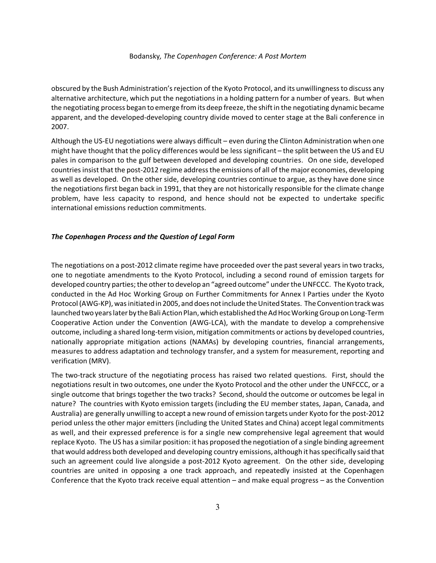obscured by the Bush Administration's rejection of the Kyoto Protocol, and its unwillingnessto discuss any alternative architecture, which put the negotiations in a holding pattern for a number of years. But when the negotiating process began to emerge from its deep freeze, the shift in the negotiating dynamic became apparent, and the developed-developing country divide moved to center stage at the Bali conference in 2007.

Although the US-EU negotiations were always difficult – even during the Clinton Administration when one might have thought that the policy differences would be less significant – the split between the US and EU pales in comparison to the gulf between developed and developing countries. On one side, developed countries insist that the post-2012 regime address the emissions of all of the major economies, developing as well as developed. On the other side, developing countries continue to argue, as they have done since the negotiations first began back in 1991, that they are not historically responsible for the climate change problem, have less capacity to respond, and hence should not be expected to undertake specific international emissions reduction commitments.

## *The Copenhagen Process and the Question of Legal Form*

The negotiations on a post-2012 climate regime have proceeded over the past several years in two tracks, one to negotiate amendments to the Kyoto Protocol, including a second round of emission targets for developed country parties; the other to develop an "agreed outcome" under the UNFCCC. The Kyoto track, conducted in the Ad Hoc Working Group on Further Commitments for Annex I Parties under the Kyoto Protocol (AWG-KP), was initiated in 2005, and does not include the United States. The Convention track was launched two years later by the Bali Action Plan, which established the Ad Hoc Working Group on Long-Term Cooperative Action under the Convention (AWG-LCA), with the mandate to develop a comprehensive outcome, including a shared long-term vision, mitigation commitments or actions by developed countries, nationally appropriate mitigation actions (NAMAs) by developing countries, financial arrangements, measures to address adaptation and technology transfer, and a system for measurement, reporting and verification (MRV).

The two-track structure of the negotiating process has raised two related questions. First, should the negotiations result in two outcomes, one under the Kyoto Protocol and the other under the UNFCCC, or a single outcome that brings together the two tracks? Second, should the outcome or outcomes be legal in nature? The countries with Kyoto emission targets (including the EU member states, Japan, Canada, and Australia) are generally unwilling to accept a new round of emission targets under Kyoto for the post-2012 period unless the other major emitters (including the United States and China) accept legal commitments as well, and their expressed preference is for a single new comprehensive legal agreement that would replace Kyoto. The US has a similar position: it has proposed the negotiation of a single binding agreement thatwould address both developed and developing country emissions, although it has specifically said that such an agreement could live alongside a post-2012 Kyoto agreement. On the other side, developing countries are united in opposing a one track approach, and repeatedly insisted at the Copenhagen Conference that the Kyoto track receive equal attention – and make equal progress – as the Convention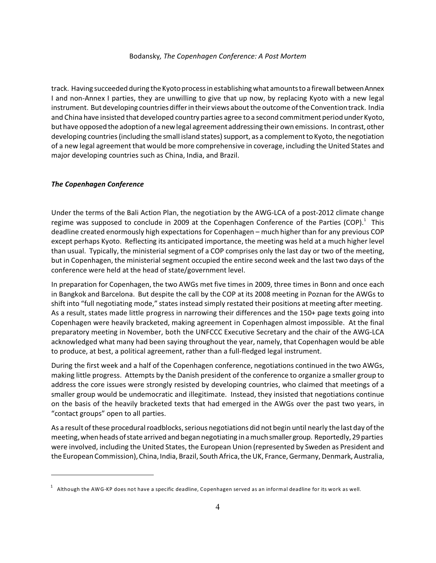track. Having succeeded during the Kyoto process in establishing what amounts to a firewall between Annex I and non-Annex I parties, they are unwilling to give that up now, by replacing Kyoto with a new legal instrument. But developing countries differ in their views about the outcome of the Convention track. India and China have insisted that developed country parties agree to a second commitment period under Kyoto, but have opposed the adoption of a new legal agreement addressing their own emissions. In contrast, other developing countries (including the small island states) support, as a complement to Kyoto, the negotiation of a new legal agreement that would be more comprehensive in coverage, including the United States and major developing countries such as China, India, and Brazil.

### *The Copenhagen Conference*

Under the terms of the Bali Action Plan, the negotiation by the AWG-LCA of a post-2012 climate change regime was supposed to conclude in 2009 at the Copenhagen Conference of the Parties (COP).<sup>1</sup> This deadline created enormously high expectations for Copenhagen – much higher than for any previous COP except perhaps Kyoto. Reflecting its anticipated importance, the meeting was held at a much higher level than usual. Typically, the ministerial segment of a COP comprises only the last day or two of the meeting, but in Copenhagen, the ministerial segment occupied the entire second week and the last two days of the conference were held at the head of state/government level.

In preparation for Copenhagen, the two AWGs met five times in 2009, three times in Bonn and once each in Bangkok and Barcelona. But despite the call by the COP at its 2008 meeting in Poznan for the AWGs to shift into "full negotiating mode," states instead simply restated their positions at meeting after meeting. As a result, states made little progress in narrowing their differences and the 150+ page texts going into Copenhagen were heavily bracketed, making agreement in Copenhagen almost impossible. At the final preparatory meeting in November, both the UNFCCC Executive Secretary and the chair of the AWG-LCA acknowledged what many had been saying throughout the year, namely, that Copenhagen would be able to produce, at best, a political agreement, rather than a full-fledged legal instrument.

During the first week and a half of the Copenhagen conference, negotiations continued in the two AWGs, making little progress. Attempts by the Danish president of the conference to organize a smaller group to address the core issues were strongly resisted by developing countries, who claimed that meetings of a smaller group would be undemocratic and illegitimate. Instead, they insisted that negotiations continue on the basis of the heavily bracketed texts that had emerged in the AWGs over the past two years, in "contact groups" open to all parties.

As a result of these procedural roadblocks, serious negotiations did not begin until nearly the last day of the meeting,when heads of state arrived and began negotiating in a much smallergroup. Reportedly, 29 parties were involved, including the United States, the European Union (represented by Sweden as President and the European Commission), China, India, Brazil, South Africa, the UK, France, Germany, Denmark, Australia,

 $^{\rm 1}\,$  Although the AWG-KP does not have a specific deadline, Copenhagen served as an informal deadline for its work as well.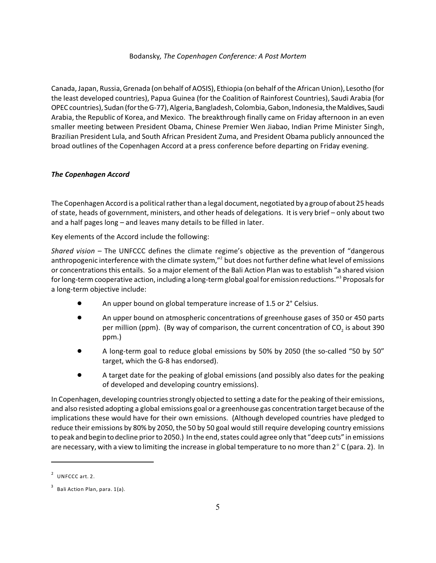Canada, Japan, Russia, Grenada (on behalf of AOSIS), Ethiopia (on behalf of the African Union), Lesotho (for the least developed countries), Papua Guinea (for the Coalition of Rainforest Countries), Saudi Arabia (for OPEC countries), Sudan (for the G-77), Algeria, Bangladesh, Colombia, Gabon, Indonesia, the Maldives, Saudi Arabia, the Republic of Korea, and Mexico. The breakthrough finally came on Friday afternoon in an even smaller meeting between President Obama, Chinese Premier Wen Jiabao, Indian Prime Minister Singh, Brazilian President Lula, and South African President Zuma, and President Obama publicly announced the broad outlines of the Copenhagen Accord at a press conference before departing on Friday evening.

# *The Copenhagen Accord*

The Copenhagen Accord is a political rather than a legal document, negotiated by a group of about 25 heads of state, heads of government, ministers, and other heads of delegations. It is very brief – only about two and a half pages long – and leaves many details to be filled in later.

Key elements of the Accord include the following:

*Shared vision* – The UNFCCC defines the climate regime's objective as the prevention of "dangerous anthropogenic interference with the climate system,"<sup>2</sup> but does not further define what level of emissions or concentrations this entails. So a major element of the Bali Action Plan was to establish "a shared vision for long-term cooperative action, including a long-term global goal for emission reductions." Proposals for <sup>3</sup> a long-term objective include:

- An upper bound on global temperature increase of 1.5 or 2° Celsius.
- ! An upper bound on atmospheric concentrations of greenhouse gases of 350 or 450 parts per million (ppm). (By way of comparison, the current concentration of CO<sub>2</sub> is about 390 ppm.)
- ! A long-term goal to reduce global emissions by 50% by 2050 (the so-called "50 by 50" target, which the G-8 has endorsed).
- ! A target date for the peaking of global emissions (and possibly also dates for the peaking of developed and developing country emissions).

In Copenhagen, developing countries strongly objected to setting a date for the peaking of their emissions, and also resisted adopting a global emissions goal or a greenhouse gas concentration target because of the implications these would have for their own emissions. (Although developed countries have pledged to reduce their emissions by 80% by 2050, the 50 by 50 goal would still require developing country emissions to peak and begin todecline prior to 2050.) In the end, states could agree only that "deep cuts" in emissions are necessary, with a view to limiting the increase in global temperature to no more than  $2^{\circ}$  C (para. 2). In

 $2$  UNFCCC art. 2.

 $^3$  Bali Action Plan, para. 1(a).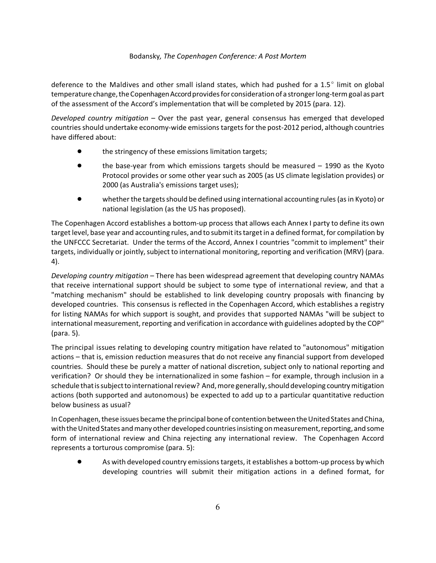deference to the Maldives and other small island states, which had pushed for a  $1.5^{\circ}$  limit on global temperature change, the Copenhagen Accord provides for consideration of a stronger long-term goal as part of the assessment of the Accord's implementation that will be completed by 2015 (para. 12).

*Developed country mitigation* – Over the past year, general consensus has emerged that developed countriesshould undertake economy-wide emissions targets for the post-2012 period, although countries have differed about:

- the stringency of these emissions limitation targets;
- ! the base-year from which emissions targets should be measured 1990 as the Kyoto Protocol provides or some other year such as 2005 (as US climate legislation provides) or 2000 (as Australia's emissions target uses);
- whether the targets should be defined using international accounting rules (as in Kyoto) or national legislation (as the US has proposed).

The Copenhagen Accord establishes a bottom-up process that allows each Annex I party to define its own target level, base year and accounting rules, and to submit its target in a defined format, for compilation by the UNFCCC Secretariat. Under the terms of the Accord, Annex I countries "commit to implement" their targets, individually or jointly, subject to international monitoring, reporting and verification (MRV) (para. 4).

*Developing country mitigation* – There has been widespread agreement that developing country NAMAs that receive international support should be subject to some type of international review, and that a "matching mechanism" should be established to link developing country proposals with financing by developed countries. This consensus is reflected in the Copenhagen Accord, which establishes a registry for listing NAMAs for which support is sought, and provides that supported NAMAs "will be subject to international measurement, reporting and verification in accordance with guidelines adopted by the COP" (para. 5).

The principal issues relating to developing country mitigation have related to "autonomous" mitigation actions – that is, emission reduction measures that do not receive any financial support from developed countries. Should these be purely a matter of national discretion, subject only to national reporting and verification? Or should they be internationalized in some fashion – for example, through inclusion in a schedule that is subject to international review? And, more generally, should developing country mitigation actions (both supported and autonomous) be expected to add up to a particular quantitative reduction below business as usual?

In Copenhagen, these issues became the principal bone of contention between the United States and China, with the United States and many other developed countries insisting on measurement, reporting, and some form of international review and China rejecting any international review. The Copenhagen Accord represents a torturous compromise (para. 5):

As with developed country emissions targets, it establishes a bottom-up process by which developing countries will submit their mitigation actions in a defined format, for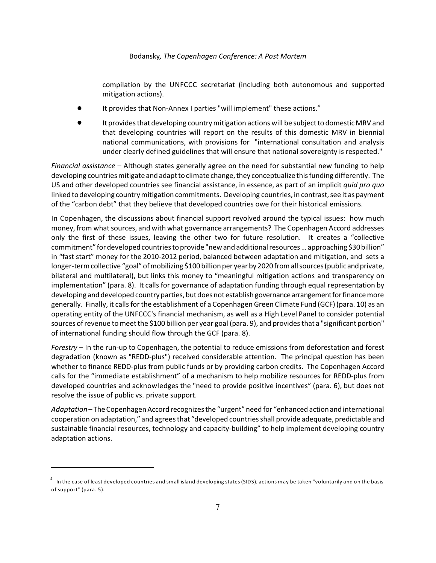compilation by the UNFCCC secretariat (including both autonomous and supported mitigation actions).

- It provides that Non-Annex I parties "will implement" these actions.<sup>4</sup>
- ! It provides that developing country mitigation actions will be subject to domestic MRV and that developing countries will report on the results of this domestic MRV in biennial national communications, with provisions for "international consultation and analysis under clearly defined guidelines that will ensure that national sovereignty is respected."

*Financial assistance* – Although states generally agree on the need for substantial new funding to help developing countries mitigate and adapt to climate change, they conceptualize this funding differently. The US and other developed countries see financial assistance, in essence, as part of an implicit *quid pro quo* linked to developing country mitigation commitments. Developing countries, in contrast, see it as payment of the "carbon debt" that they believe that developed countries owe for their historical emissions.

In Copenhagen, the discussions about financial support revolved around the typical issues: how much money, from what sources, and with what governance arrangements? The Copenhagen Accord addresses only the first of these issues, leaving the other two for future resolution. It creates a "collective commitment" for developed countriestoprovide "new and additionalresources … approaching \$30billion" in "fast start" money for the 2010-2012 period, balanced between adaptation and mitigation, and sets a longer-term collective "goal" of mobilizing \$100 billion per year by 2020 from all sources (public and private, bilateral and multilateral), but links this money to "meaningful mitigation actions and transparency on implementation" (para. 8). It calls for governance of adaptation funding through equal representation by developing and developed country parties, but does notestablish governancearrangementfor finance more generally. Finally, it calls for the establishment of a Copenhagen Green Climate Fund (GCF) (para. 10) as an operating entity of the UNFCCC's financial mechanism, as well as a High Level Panel to consider potential sources of revenue to meet the \$100 billion per year goal (para. 9), and provides that a "significant portion" of international funding should flow through the GCF (para. 8).

*Forestry* – In the run-up to Copenhagen, the potential to reduce emissions from deforestation and forest degradation (known as "REDD-plus") received considerable attention. The principal question has been whether to finance REDD-plus from public funds or by providing carbon credits. The Copenhagen Accord calls for the "immediate establishment" of a mechanism to help mobilize resources for REDD-plus from developed countries and acknowledges the "need to provide positive incentives" (para. 6), but does not resolve the issue of public vs. private support.

*Adaptation* – The Copenhagen Accord recognizes the "urgent" need for "enhanced action and international cooperation on adaptation," and agrees that "developed countriesshall provide adequate, predictable and sustainable financial resources, technology and capacity-building" to help implement developing country adaptation actions.

 $^{\rm 4}~$  In the case of least developed countries and small island developing states (SIDS), actions may be taken "voluntarily and on the basis of support" (para. 5).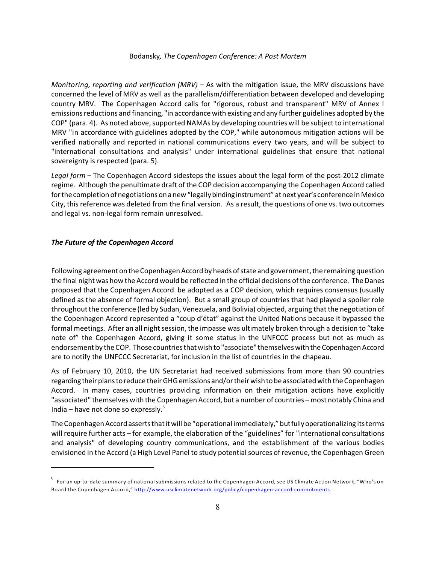*Monitoring, reporting and verification (MRV)* – As with the mitigation issue, the MRV discussions have concerned the level of MRV as well as the parallelism/differentiation between developed and developing country MRV. The Copenhagen Accord calls for "rigorous, robust and transparent" MRV of Annex I emissions reductions and financing, "in accordance with existing and any further guidelines adopted by the COP" (para. 4). As noted above, supported NAMAs by developing countries will be subject to international MRV "in accordance with guidelines adopted by the COP," while autonomous mitigation actions will be verified nationally and reported in national communications every two years, and will be subject to "international consultations and analysis" under international guidelines that ensure that national sovereignty is respected (para. 5).

*Legal form* – The Copenhagen Accord sidesteps the issues about the legal form of the post-2012 climate regime. Although the penultimate draft of the COP decision accompanying the Copenhagen Accord called for the completion of negotiations on a new"legallybinding instrument" at next year's conference in Mexico City, this reference was deleted from the final version. As a result, the questions of one vs. two outcomes and legal vs. non-legal form remain unresolved.

## *The Future of the Copenhagen Accord*

Following agreement on the Copenhagen Accord by heads of state and government, the remaining question the final night was how the Accord would be reflected in the official decisions of the conference. The Danes proposed that the Copenhagen Accord be adopted as a COP decision, which requires consensus (usually defined as the absence of formal objection). But a small group of countries that had played a spoiler role throughout the conference (led by Sudan, Venezuela, and Bolivia) objected, arguing that the negotiation of the Copenhagen Accord represented a "coup d'état" against the United Nations because it bypassed the formal meetings. After an all night session, the impasse was ultimately broken through a decision to "take note of" the Copenhagen Accord, giving it some status in the UNFCCC process but not as much as endorsement by the COP. Those countriesthatwish to"associate" themselves with the Copenhagen Accord are to notify the UNFCCC Secretariat, for inclusion in the list of countries in the chapeau.

As of February 10, 2010, the UN Secretariat had received submissions from more than 90 countries regarding their plans toreduce their GHG emissions and/or their wish tobe associated with the Copenhagen Accord. In many cases, countries providing information on their mitigation actions have explicitly "associated" themselves with the Copenhagen Accord, but a number of countries – most notably China and India – have not done so expressly. $5$ 

The Copenhagen Accord asserts thatit will be "operational immediately," butfullyoperationalizing its terms will require further acts – for example, the elaboration of the "guidelines" for "international consultations and analysis" of developing country communications, and the establishment of the various bodies envisioned in the Accord (a High Level Panel to study potentialsources of revenue, the Copenhagen Green

<sup>&</sup>lt;sup>5</sup> For an up-to-date summary of national submissions related to the Copenhagen Accord, see US Climate Action Network, "Who's on Board the Copenhagen Accord," <http://www.usclimatenetwork.org/policy/copenhagen-accord-commitments>.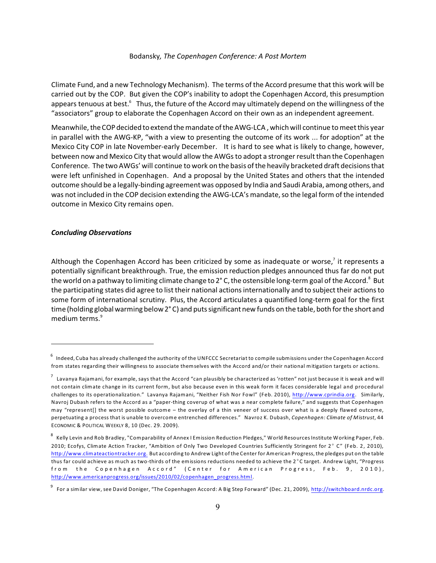Climate Fund, and a new Technology Mechanism). The terms of the Accord presume that this work will be carried out by the COP. But given the COP's inability to adopt the Copenhagen Accord, this presumption appears tenuous at best.<sup>6</sup> Thus, the future of the Accord may ultimately depend on the willingness of the "associators" group to elaborate the Copenhagen Accord on their own as an independent agreement.

Meanwhile, the COP decided toextend the mandate of the AWG-LCA , which will continue tomeet this year in parallel with the AWG-KP, "with a view to presenting the outcome of its work ... for adoption" at the Mexico City COP in late November-early December. It is hard to see what is likely to change, however, between now and Mexico City that would allow the AWGsto adopt a stronger result than the Copenhagen Conference. The two AWGs' will continue to work on the basis of the heavily bracketed draft decisions that were left unfinished in Copenhagen. And a proposal by the United States and others that the intended outcome should be a legally-binding agreement was opposed by India and Saudi Arabia, among others, and was notincluded in the COP decision extending the AWG-LCA's mandate, so the legal form of the intended outcome in Mexico City remains open.

#### *Concluding Observations*

Although the Copenhagen Accord has been criticized by some as inadequate or worse,<sup>7</sup> it represents a potentially significant breakthrough. True, the emission reduction pledges announced thus far do not put the world on a pathway to limiting climate change to  $2^{\circ}$  C, the ostensible long-term goal of the Accord.<sup>8</sup> But the participating states did agree to list their national actions internationally and to subject their actions to some form of international scrutiny. Plus, the Accord articulates a quantified long-term goal for the first time (holding globalwarming below 2° C) and puts significant new funds on the table, both for the short and medium terms.<sup>9</sup>

 $^6$  Indeed, Cuba has already challenged the authority of the UNFCCC Secretariat to compile submissions under the Copenhagen Accord from states regarding their willingness to associate themselves with the Accord and/or their national mitigation targets or actions.

 $^7$  Lavanya Rajamani, for example, says that the Accord "can plausibly be characterized as 'rotten" not just because it is weak and will not contain climate change in its current form, but also because even in this weak form it faces considerable legal and procedural challenges to its operationalization." Lavanya Rajamani, "Neither Fish Nor Fowl" (Feb. 2010), <http://www.cprindia.org>. Similarly, Navroj Dubash refers to the Accord as a "paper-thing coverup of what was a near complete failure," and suggests that Copenhagen may "represent[] the worst possible outcome – the overlay of a thin veneer of success over what is a deeply flawed outcome, perpetuating a process that is unable to overcome entrenched differences." Navroz K. Dubash, *Copenhagen: Climate of Mistrust*, 44 ECONOMIC & POLITICAL WEEKLY 8, 10 (Dec. 29. 2009).

 $^{\rm 8}$  Kelly Levin and Rob Bradley, "Comparability of Annex I Emission Reduction Pledges," World Resources Institute Working Paper, Feb. 2010; Ecofys, Climate Action Tracker, "Ambition of Only Two Developed Countries Sufficiently Stringent for  $2^{\circ}$  C" (Feb. 2, 2010), <http://www.climateactiontracker.org.> But according to Andrew Light of the Center for American Progress, the pledges put on the table thus far could achieve as much as two-thirds of the emissions reductions needed to achieve the 2°C target. Andrew Light, "Progress from the Copenhagen Accord" (Center for American Progress, Feb. 9, 2010), [http://www.americanprogress.org/issues/2010/02/copenhagen\\_progress.html](http://www.americanprogress.org/issues/2010/02/copenhagen_progress.html).

<sup>&</sup>lt;sup>9</sup> For a similar view, see David Doniger, "The Copenhagen Accord: A Big Step Forward" (Dec. 21, 2009), <u><http://switchboard.nrdc.org>.</u>